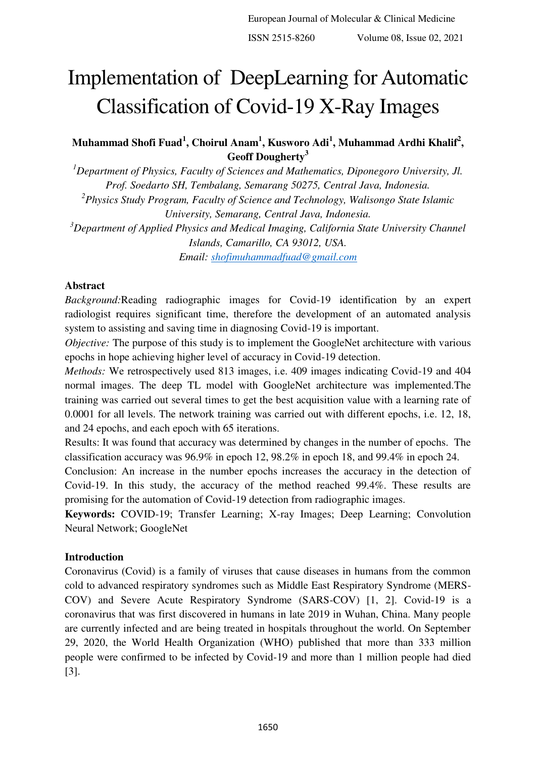# Implementation of DeepLearning for Automatic Classification of Covid-19 X-Ray Images

**Muhammad Shofi Fuad<sup>1</sup> , Choirul Anam<sup>1</sup> , Kusworo Adi<sup>1</sup> , Muhammad Ardhi Khalif<sup>2</sup> , Geoff Dougherty<sup>3</sup>**

*<sup>1</sup>Department of Physics, Faculty of Sciences and Mathematics, Diponegoro University, Jl. Prof. Soedarto SH, Tembalang, Semarang 50275, Central Java, Indonesia. 2 Physics Study Program, Faculty of Science and Technology, Walisongo State Islamic University, Semarang, Central Java, Indonesia. <sup>3</sup>Department of Applied Physics and Medical Imaging, California State University Channel Islands, Camarillo, CA 93012, USA. Email: [shofimuhammadfuad@gmail.com](mailto:shofimuhammadfuad@gmail.com)*

## **Abstract**

*Background:*Reading radiographic images for Covid-19 identification by an expert radiologist requires significant time, therefore the development of an automated analysis system to assisting and saving time in diagnosing Covid-19 is important.

*Objective:* The purpose of this study is to implement the GoogleNet architecture with various epochs in hope achieving higher level of accuracy in Covid-19 detection.

*Methods:* We retrospectively used 813 images, i.e. 409 images indicating Covid-19 and 404 normal images. The deep TL model with GoogleNet architecture was implemented.The training was carried out several times to get the best acquisition value with a learning rate of 0.0001 for all levels. The network training was carried out with different epochs, i.e. 12, 18, and 24 epochs, and each epoch with 65 iterations.

Results: It was found that accuracy was determined by changes in the number of epochs. The classification accuracy was 96.9% in epoch 12, 98.2% in epoch 18, and 99.4% in epoch 24.

Conclusion: An increase in the number epochs increases the accuracy in the detection of Covid-19. In this study, the accuracy of the method reached 99.4%. These results are promising for the automation of Covid-19 detection from radiographic images.

**Keywords:** COVID-19; Transfer Learning; X-ray Images; Deep Learning; Convolution Neural Network; GoogleNet

# **Introduction**

Coronavirus (Covid) is a family of viruses that cause diseases in humans from the common cold to advanced respiratory syndromes such as Middle East Respiratory Syndrome (MERS-COV) and Severe Acute Respiratory Syndrome (SARS-COV) [1, 2]. Covid-19 is a coronavirus that was first discovered in humans in late 2019 in Wuhan, China. Many people are currently infected and are being treated in hospitals throughout the world. On September 29, 2020, the World Health Organization (WHO) published that more than 333 million people were confirmed to be infected by Covid-19 and more than 1 million people had died [3].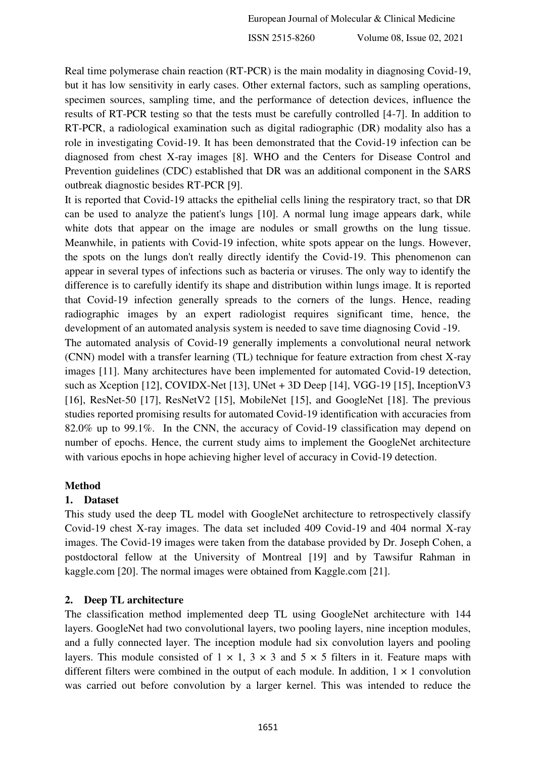Real time polymerase chain reaction (RT-PCR) is the main modality in diagnosing Covid-19, but it has low sensitivity in early cases. Other external factors, such as sampling operations, specimen sources, sampling time, and the performance of detection devices, influence the results of RT-PCR testing so that the tests must be carefully controlled [4-7]. In addition to RT-PCR, a radiological examination such as digital radiographic (DR) modality also has a role in investigating Covid-19. It has been demonstrated that the Covid-19 infection can be diagnosed from chest X-ray images [8]. WHO and the Centers for Disease Control and Prevention guidelines (CDC) established that DR was an additional component in the SARS outbreak diagnostic besides RT-PCR [9].

It is reported that Covid-19 attacks the epithelial cells lining the respiratory tract, so that DR can be used to analyze the patient's lungs [10]. A normal lung image appears dark, while white dots that appear on the image are nodules or small growths on the lung tissue. Meanwhile, in patients with Covid-19 infection, white spots appear on the lungs. However, the spots on the lungs don't really directly identify the Covid-19. This phenomenon can appear in several types of infections such as bacteria or viruses. The only way to identify the difference is to carefully identify its shape and distribution within lungs image. It is reported that Covid-19 infection generally spreads to the corners of the lungs. Hence, reading radiographic images by an expert radiologist requires significant time, hence, the development of an automated analysis system is needed to save time diagnosing Covid -19.

The automated analysis of Covid-19 generally implements a convolutional neural network (CNN) model with a transfer learning (TL) technique for feature extraction from chest X-ray images [11]. Many architectures have been implemented for automated Covid-19 detection, such as Xception [12], COVIDX-Net [13], UNet + 3D Deep [14], VGG-19 [15], InceptionV3 [16], ResNet-50 [17], ResNetV2 [15], MobileNet [15], and GoogleNet [18]. The previous studies reported promising results for automated Covid-19 identification with accuracies from 82.0% up to 99.1%. In the CNN, the accuracy of Covid-19 classification may depend on number of epochs. Hence, the current study aims to implement the GoogleNet architecture with various epochs in hope achieving higher level of accuracy in Covid-19 detection.

## **Method**

## **1. Dataset**

This study used the deep TL model with GoogleNet architecture to retrospectively classify Covid-19 chest X-ray images. The data set included 409 Covid-19 and 404 normal X-ray images. The Covid-19 images were taken from the database provided by Dr. Joseph Cohen, a postdoctoral fellow at the University of Montreal [19] and by Tawsifur Rahman in kaggle.com [20]. The normal images were obtained from Kaggle.com [21].

# **2. Deep TL architecture**

The classification method implemented deep TL using GoogleNet architecture with 144 layers. GoogleNet had two convolutional layers, two pooling layers, nine inception modules, and a fully connected layer. The inception module had six convolution layers and pooling layers. This module consisted of  $1 \times 1$ ,  $3 \times 3$  and  $5 \times 5$  filters in it. Feature maps with different filters were combined in the output of each module. In addition,  $1 \times 1$  convolution was carried out before convolution by a larger kernel. This was intended to reduce the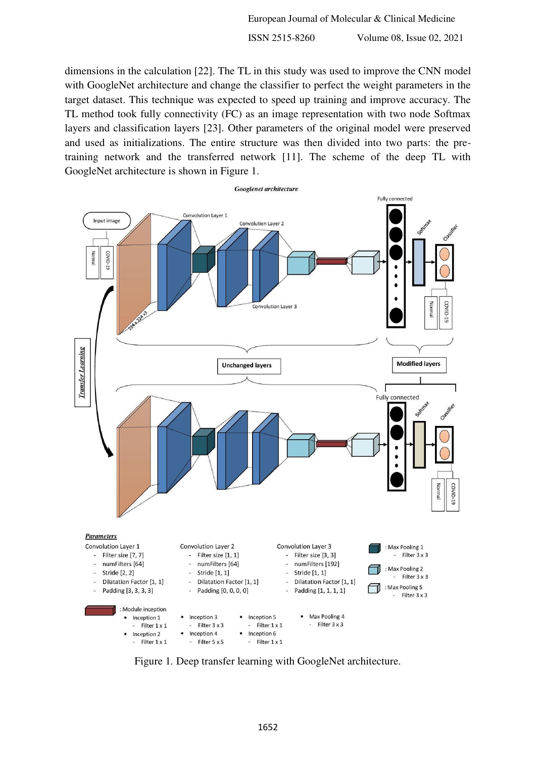European Journal of Molecular & Clinical Medicine

ISSN 2515-8260 Volume 08, Issue 02, 2021

dimensions in the calculation [22]. The TL in this study was used to improve the CNN model with GoogleNet architecture and change the classifier to perfect the weight parameters in the target dataset. This technique was expected to speed up training and improve accuracy. The TL method took fully connectivity (FC) as an image representation with two node Softmax layers and classification layers [23]. Other parameters of the original model were preserved and used as initializations. The entire structure was then divided into two parts: the pretraining network and the transferred network [11]. The scheme of the deep TL with GoogleNet architecture is shown in Figure 1.



Figure 1. Deep transfer learning with GoogleNet architecture.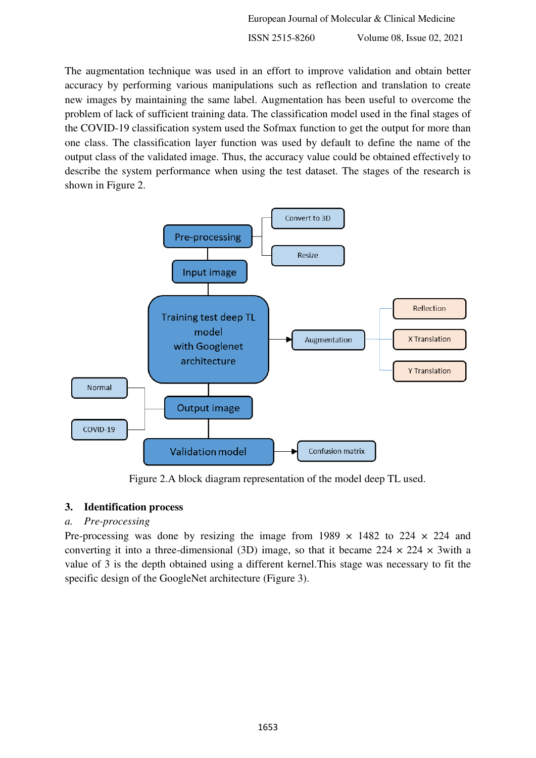European Journal of Molecular & Clinical Medicine

ISSN 2515-8260 Volume 08, Issue 02, 2021

The augmentation technique was used in an effort to improve validation and obtain better accuracy by performing various manipulations such as reflection and translation to create new images by maintaining the same label. Augmentation has been useful to overcome the problem of lack of sufficient training data. The classification model used in the final stages of the COVID-19 classification system used the Sofmax function to get the output for more than one class. The classification layer function was used by default to define the name of the output class of the validated image. Thus, the accuracy value could be obtained effectively to describe the system performance when using the test dataset. The stages of the research is shown in Figure 2.



Figure 2.A block diagram representation of the model deep TL used.

# **3. Identification process**

## *a. Pre-processing*

Pre-processing was done by resizing the image from 1989  $\times$  1482 to 224  $\times$  224 and converting it into a three-dimensional (3D) image, so that it became  $224 \times 224 \times 3$  with a value of 3 is the depth obtained using a different kernel.This stage was necessary to fit the specific design of the GoogleNet architecture (Figure 3).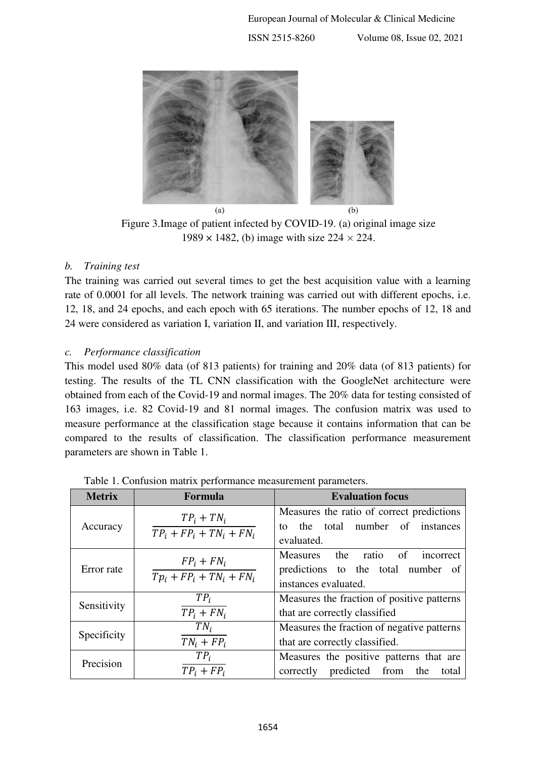

Figure 3.Image of patient infected by COVID-19. (a) original image size 1989 × 1482, (b) image with size 224 *×* 224.

## *b. Training test*

The training was carried out several times to get the best acquisition value with a learning rate of 0.0001 for all levels. The network training was carried out with different epochs, i.e. 12, 18, and 24 epochs, and each epoch with 65 iterations. The number epochs of 12, 18 and 24 were considered as variation I, variation II, and variation III, respectively.

## *c. Performance classification*

This model used 80% data (of 813 patients) for training and 20% data (of 813 patients) for testing. The results of the TL CNN classification with the GoogleNet architecture were obtained from each of the Covid-19 and normal images. The 20% data for testing consisted of 163 images, i.e. 82 Covid-19 and 81 normal images. The confusion matrix was used to measure performance at the classification stage because it contains information that can be compared to the results of classification. The classification performance measurement parameters are shown in Table 1.

| <b>Metrix</b> | Formula                                      | <b>Evaluation focus</b>                                                                             |  |  |  |  |
|---------------|----------------------------------------------|-----------------------------------------------------------------------------------------------------|--|--|--|--|
| Accuracy      | $TP_i + TN_i$<br>$TP_i + FP_i + TN_i + FN_i$ | Measures the ratio of correct predictions<br>the total number of instances<br>tο<br>evaluated.      |  |  |  |  |
| Error rate    | $FP_i + FN_i$<br>$Tp_i + FP_i + TN_i + FN_i$ | Measures the ratio<br>of<br>incorrect<br>predictions to the total number of<br>instances evaluated. |  |  |  |  |
| Sensitivity   | $TP_i$<br>$TP_i + FN_i$                      | Measures the fraction of positive patterns<br>that are correctly classified                         |  |  |  |  |
| Specificity   | $TN_i$<br>$TN_i + FP_i$                      | Measures the fraction of negative patterns<br>that are correctly classified.                        |  |  |  |  |
| Precision     | $TP_i$<br>$TP_i + FP_i$                      | Measures the positive patterns that are<br>correctly predicted from the<br>total                    |  |  |  |  |

Table 1. Confusion matrix performance measurement parameters.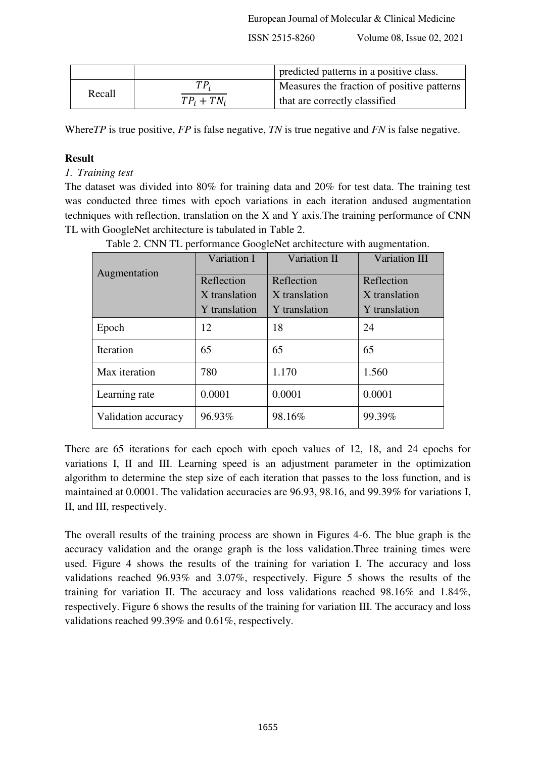|        |               | predicted patterns in a positive class.    |
|--------|---------------|--------------------------------------------|
| Recall | TP,           | Measures the fraction of positive patterns |
|        | $TP_i + TN_i$ | that are correctly classified              |

Where*TP* is true positive, *FP* is false negative, *TN* is true negative and *FN* is false negative.

# **Result**

# *1. Training test*

The dataset was divided into 80% for training data and 20% for test data. The training test was conducted three times with epoch variations in each iteration andused augmentation techniques with reflection, translation on the X and Y axis.The training performance of CNN TL with GoogleNet architecture is tabulated in Table 2.

| Augmentation        | Variation I   | Variation II  | <b>Variation III</b> |  |
|---------------------|---------------|---------------|----------------------|--|
|                     | Reflection    | Reflection    | Reflection           |  |
|                     | X translation | X translation | X translation        |  |
|                     | Y translation | Y translation | Y translation        |  |
| Epoch               | 12            | 18            | 24                   |  |
| Iteration           | 65            | 65            | 65                   |  |
| Max iteration       | 780           | 1.170         | 1.560                |  |
| Learning rate       | 0.0001        | 0.0001        | 0.0001               |  |
| Validation accuracy | 96.93%        | 98.16%        | 99.39%               |  |

Table 2. CNN TL performance GoogleNet architecture with augmentation.

There are 65 iterations for each epoch with epoch values of 12, 18, and 24 epochs for variations I, II and III. Learning speed is an adjustment parameter in the optimization algorithm to determine the step size of each iteration that passes to the loss function, and is maintained at 0.0001. The validation accuracies are 96.93, 98.16, and 99.39% for variations I, II, and III, respectively.

The overall results of the training process are shown in Figures 4-6. The blue graph is the accuracy validation and the orange graph is the loss validation.Three training times were used. Figure 4 shows the results of the training for variation I. The accuracy and loss validations reached 96.93% and 3.07%, respectively. Figure 5 shows the results of the training for variation II. The accuracy and loss validations reached 98.16% and 1.84%, respectively. Figure 6 shows the results of the training for variation III. The accuracy and loss validations reached 99.39% and 0.61%, respectively.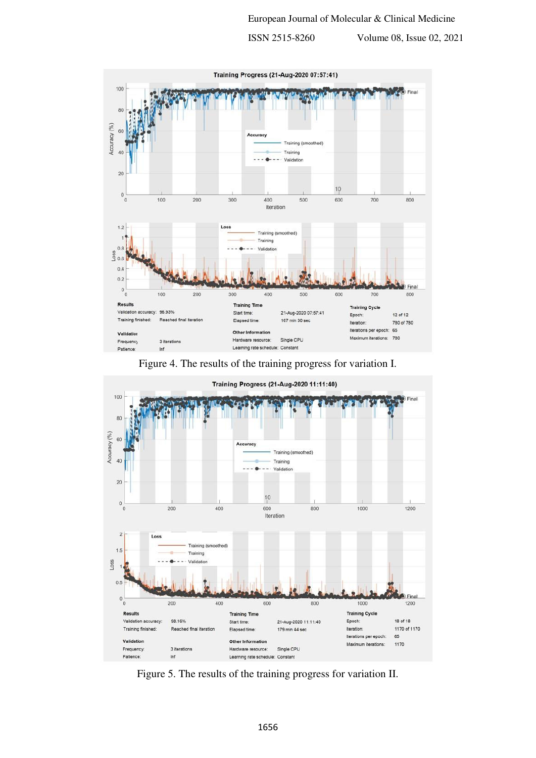

Figure 4. The results of the training progress for variation I.



Figure 5. The results of the training progress for variation II.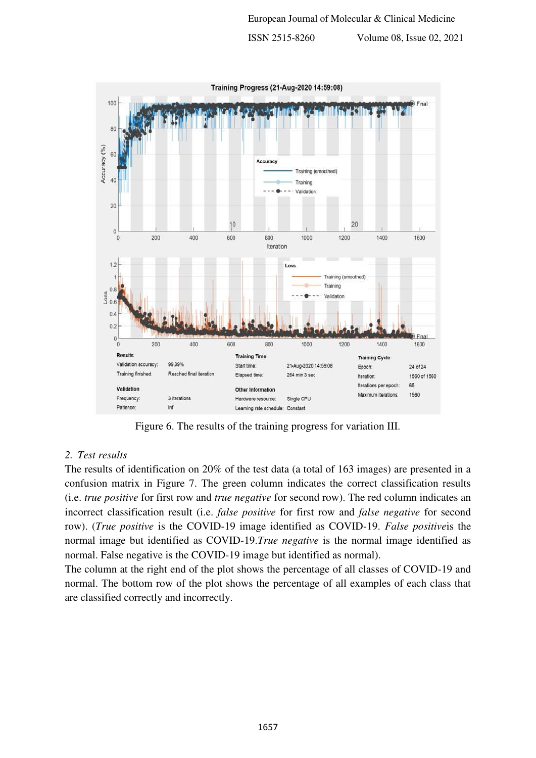

Figure 6. The results of the training progress for variation III.

## *2. Test results*

The results of identification on 20% of the test data (a total of 163 images) are presented in a confusion matrix in Figure 7. The green column indicates the correct classification results (i.e. *true positive* for first row and *true negative* for second row). The red column indicates an incorrect classification result (i.e. *false positive* for first row and *false negative* for second row). (*True positive* is the COVID-19 image identified as COVID-19. *False positive*is the normal image but identified as COVID-19.*True negative* is the normal image identified as normal. False negative is the COVID-19 image but identified as normal).

The column at the right end of the plot shows the percentage of all classes of COVID-19 and normal. The bottom row of the plot shows the percentage of all examples of each class that are classified correctly and incorrectly.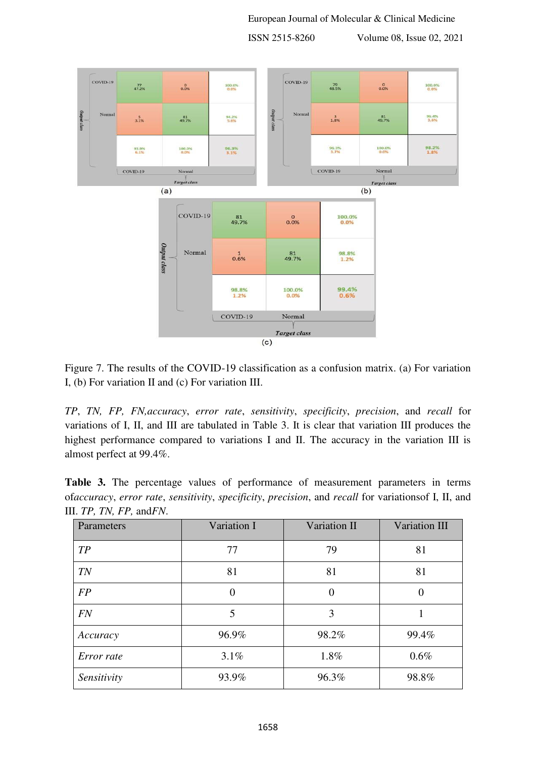

Figure 7. The results of the COVID-19 classification as a confusion matrix. (a) For variation I, (b) For variation II and (c) For variation III.

*TP*, *TN, FP, FN,accuracy*, *error rate*, *sensitivity*, *specificity*, *precision*, and *recall* for variations of I, II, and III are tabulated in Table 3. It is clear that variation III produces the highest performance compared to variations I and II. The accuracy in the variation III is almost perfect at 99.4%.

**Table 3.** The percentage values of performance of measurement parameters in terms of*accuracy*, *error rate*, *sensitivity*, *specificity*, *precision*, and *recall* for variationsof I, II, and III. *TP, TN, FP,* and*FN*.

| Parameters           | Variation I    | Variation II   | Variation III |  |
|----------------------|----------------|----------------|---------------|--|
| TP                   | 77             | 79             | 81            |  |
| <b>TN</b>            | 81             | 81             | 81            |  |
| FP                   | $\overline{0}$ | $\overline{0}$ | 0             |  |
| FN                   | 5              |                |               |  |
| Accuracy             | 96.9%          | 98.2%          | 99.4%         |  |
| Error rate           | 3.1%           |                | $0.6\%$       |  |
| 93.9%<br>Sensitivity |                | 96.3%          | 98.8%         |  |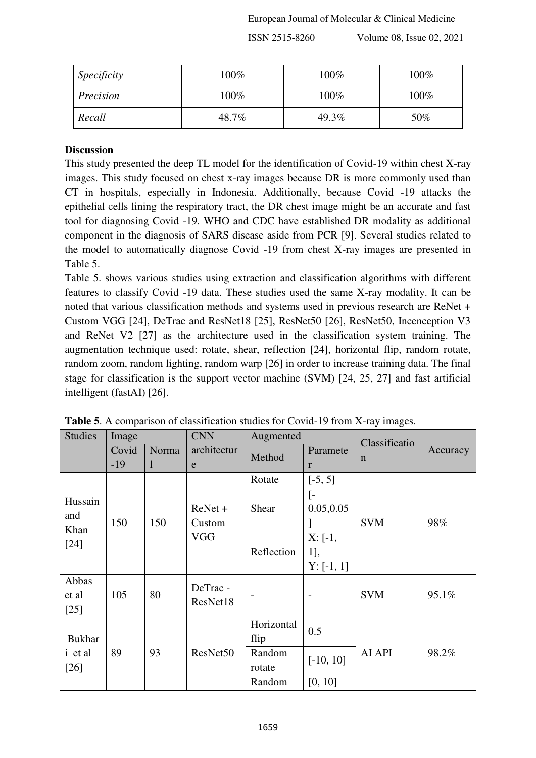| <i>Specificity</i> | 100%  | 100%  | 100% |  |
|--------------------|-------|-------|------|--|
| Precision          | 100%  | 100%  | 100% |  |
| Recall             | 48.7% | 49.3% | 50%  |  |

# **Discussion**

This study presented the deep TL model for the identification of Covid-19 within chest X-ray images. This study focused on chest x-ray images because DR is more commonly used than CT in hospitals, especially in Indonesia. Additionally, because Covid -19 attacks the epithelial cells lining the respiratory tract, the DR chest image might be an accurate and fast tool for diagnosing Covid -19. WHO and CDC have established DR modality as additional component in the diagnosis of SARS disease aside from PCR [9]. Several studies related to the model to automatically diagnose Covid -19 from chest X-ray images are presented in Table 5.

Table 5. shows various studies using extraction and classification algorithms with different features to classify Covid -19 data. These studies used the same X-ray modality. It can be noted that various classification methods and systems used in previous research are ReNet + Custom VGG [24], DeTrac and ResNet18 [25], ResNet50 [26], ResNet50, Incenception V3 and ReNet V2 [27] as the architecture used in the classification system training. The augmentation technique used: rotate, shear, reflection [24], horizontal flip, random rotate, random zoom, random lighting, random warp [26] in order to increase training data. The final stage for classification is the support vector machine (SVM) [24, 25, 27] and fast artificial intelligent (fastAI) [26].

| <b>Studies</b>           | Image |       | <b>CNN</b>           | Augmented          |                                 | Classificatio |          |
|--------------------------|-------|-------|----------------------|--------------------|---------------------------------|---------------|----------|
|                          | Covid | Norma | architectur          | Method             | Paramete                        | $\mathbf n$   | Accuracy |
|                          | $-19$ | 1     | e                    |                    | $\mathbf{r}$                    |               |          |
|                          |       |       |                      | Rotate             | $[-5, 5]$                       |               |          |
| Hussain<br>and           | 150   | 150   | $ReNet +$<br>Custom  | Shear              | $\lceil - \rceil$<br>0.05, 0.05 | <b>SVM</b>    | 98%      |
| Khan                     |       |       | <b>VGG</b>           |                    | $X: [-1,$                       |               |          |
| $[24]$                   |       |       |                      | Reflection         | <sup>1</sup> ],                 |               |          |
|                          |       |       |                      |                    | $Y: [-1, 1]$                    |               |          |
| Abbas<br>et al<br>$[25]$ | 105   | 80    | DeTrac -<br>ResNet18 | $\qquad \qquad$    | $\overline{\phantom{a}}$        | <b>SVM</b>    | 95.1%    |
| <b>Bukhar</b>            |       |       |                      | Horizontal<br>flip | 0.5                             |               |          |
| i et al<br>$[26]$        | 89    | 93    | ResNet50             | Random<br>rotate   | $[-10, 10]$                     | AI API        | 98.2%    |
|                          |       |       |                      | Random             | [0, 10]                         |               |          |

**Table 5**. A comparison of classification studies for Covid-19 from X-ray images.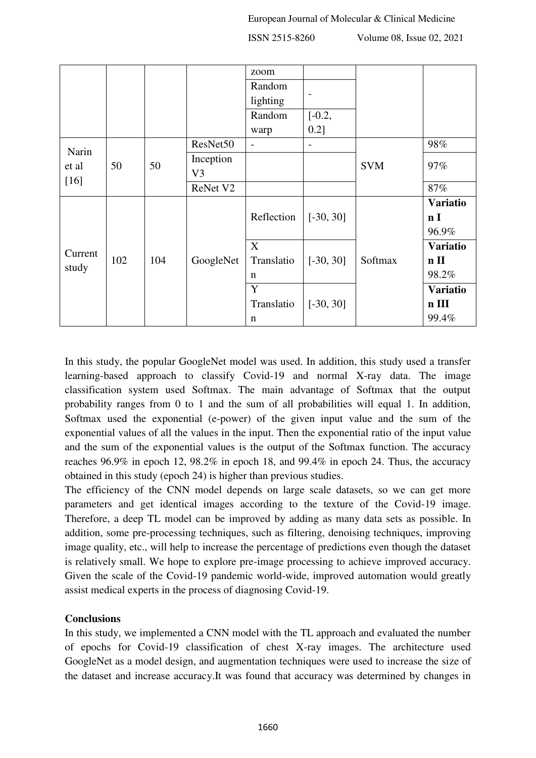|         |     |     |                | zoom                     |                |            |                 |
|---------|-----|-----|----------------|--------------------------|----------------|------------|-----------------|
|         |     |     |                | Random                   |                |            |                 |
|         |     |     |                | lighting                 |                |            |                 |
|         |     |     |                | Random                   | $[-0.2,$       |            |                 |
|         |     |     |                | warp                     | 0.2]           |            |                 |
| Narin   |     |     | ResNet50       | $\overline{\phantom{a}}$ | $\overline{a}$ |            | 98%             |
| et al   | 50  | 50  | Inception      |                          |                | <b>SVM</b> | 97%             |
| $[16]$  |     |     | V <sub>3</sub> |                          |                |            |                 |
|         |     |     | ReNet V2       |                          |                |            | 87%             |
|         |     |     |                |                          |                |            | <b>Variatio</b> |
|         | 102 | 104 | GoogleNet      | Reflection               | $[-30, 30]$    |            | n <sub>I</sub>  |
|         |     |     |                |                          |                | Softmax    | 96.9%           |
| Current |     |     |                | X                        |                |            | <b>Variatio</b> |
| study   |     |     |                | Translatio               | $[-30, 30]$    |            | $n$ II          |
|         |     |     |                | $\mathbf n$              |                |            | 98.2%           |
|         |     |     |                | Y                        |                |            | <b>Variatio</b> |
|         |     |     |                | Translatio               | $[-30, 30]$    |            | $n$ III         |
|         |     |     |                | $\mathbf n$              |                |            | 99.4%           |

In this study, the popular GoogleNet model was used. In addition, this study used a transfer learning-based approach to classify Covid-19 and normal X-ray data. The image classification system used Softmax. The main advantage of Softmax that the output probability ranges from 0 to 1 and the sum of all probabilities will equal 1. In addition, Softmax used the exponential (e-power) of the given input value and the sum of the exponential values of all the values in the input. Then the exponential ratio of the input value and the sum of the exponential values is the output of the Softmax function. The accuracy reaches 96.9% in epoch 12, 98.2% in epoch 18, and 99.4% in epoch 24. Thus, the accuracy obtained in this study (epoch 24) is higher than previous studies.

The efficiency of the CNN model depends on large scale datasets, so we can get more parameters and get identical images according to the texture of the Covid-19 image. Therefore, a deep TL model can be improved by adding as many data sets as possible. In addition, some pre-processing techniques, such as filtering, denoising techniques, improving image quality, etc., will help to increase the percentage of predictions even though the dataset is relatively small. We hope to explore pre-image processing to achieve improved accuracy. Given the scale of the Covid-19 pandemic world-wide, improved automation would greatly assist medical experts in the process of diagnosing Covid-19.

# **Conclusions**

In this study, we implemented a CNN model with the TL approach and evaluated the number of epochs for Covid-19 classification of chest X-ray images. The architecture used GoogleNet as a model design, and augmentation techniques were used to increase the size of the dataset and increase accuracy.It was found that accuracy was determined by changes in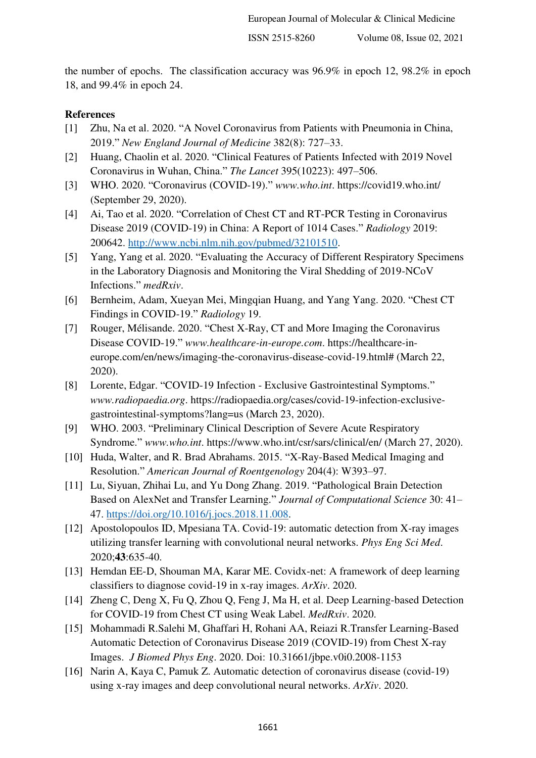the number of epochs. The classification accuracy was 96.9% in epoch 12, 98.2% in epoch 18, and 99.4% in epoch 24.

#### **References**

- [1] Zhu, Na et al. 2020. "A Novel Coronavirus from Patients with Pneumonia in China, 2019." *New England Journal of Medicine* 382(8): 727–33.
- [2] Huang, Chaolin et al. 2020. "Clinical Features of Patients Infected with 2019 Novel Coronavirus in Wuhan, China." *The Lancet* 395(10223): 497–506.
- [3] WHO. 2020. "Coronavirus (COVID-19)." *www.who.int*. https://covid19.who.int/ (September 29, 2020).
- [4] Ai, Tao et al. 2020. "Correlation of Chest CT and RT-PCR Testing in Coronavirus Disease 2019 (COVID-19) in China: A Report of 1014 Cases." *Radiology* 2019: 200642. [http://www.ncbi.nlm.nih.gov/pubmed/32101510.](http://www.ncbi.nlm.nih.gov/pubmed/32101510)
- [5] Yang, Yang et al. 2020. "Evaluating the Accuracy of Different Respiratory Specimens in the Laboratory Diagnosis and Monitoring the Viral Shedding of 2019-NCoV Infections." *medRxiv*.
- [6] Bernheim, Adam, Xueyan Mei, Mingqian Huang, and Yang Yang. 2020. "Chest CT Findings in COVID-19." *Radiology* 19.
- [7] Rouger, Mélisande. 2020. "Chest X-Ray, CT and More Imaging the Coronavirus Disease COVID-19." *www.healthcare-in-europe.com*. https://healthcare-ineurope.com/en/news/imaging-the-coronavirus-disease-covid-19.html# (March 22, 2020).
- [8] Lorente, Edgar. "COVID-19 Infection Exclusive Gastrointestinal Symptoms." *www.radiopaedia.org*. https://radiopaedia.org/cases/covid-19-infection-exclusivegastrointestinal-symptoms?lang=us (March 23, 2020).
- [9] WHO. 2003. "Preliminary Clinical Description of Severe Acute Respiratory Syndrome." *www.who.int*. https://www.who.int/csr/sars/clinical/en/ (March 27, 2020).
- [10] Huda, Walter, and R. Brad Abrahams. 2015. "X-Ray-Based Medical Imaging and Resolution." *American Journal of Roentgenology* 204(4): W393–97.
- [11] Lu, Siyuan, Zhihai Lu, and Yu Dong Zhang. 2019. "Pathological Brain Detection Based on AlexNet and Transfer Learning." *Journal of Computational Science* 30: 41– 47. [https://doi.org/10.1016/j.jocs.2018.11.008.](https://doi.org/10.1016/j.jocs.2018.11.008)
- [12] Apostolopoulos ID, Mpesiana TA. Covid-19: automatic detection from X-ray images utilizing transfer learning with convolutional neural networks. *Phys Eng Sci Med*. 2020;**43**:635-40.
- [13] Hemdan EE-D, Shouman MA, Karar ME. Covidx-net: A framework of deep learning classifiers to diagnose covid-19 in x-ray images. *ArXiv*. 2020.
- [14] Zheng C, Deng X, Fu Q, Zhou Q, Feng J, Ma H, et al. Deep Learning-based Detection for COVID-19 from Chest CT using Weak Label. *MedRxiv*. 2020.
- [15] Mohammadi R.Salehi M, Ghaffari H, Rohani AA, Reiazi R.Transfer Learning-Based Automatic Detection of Coronavirus Disease 2019 (COVID-19) from Chest X-ray Images. *J Biomed Phys Eng*. 2020. Doi: 10.31661/jbpe.v0i0.2008-1153
- [16] Narin A, Kaya C, Pamuk Z. Automatic detection of coronavirus disease (covid-19) using x-ray images and deep convolutional neural networks. *ArXiv*. 2020.